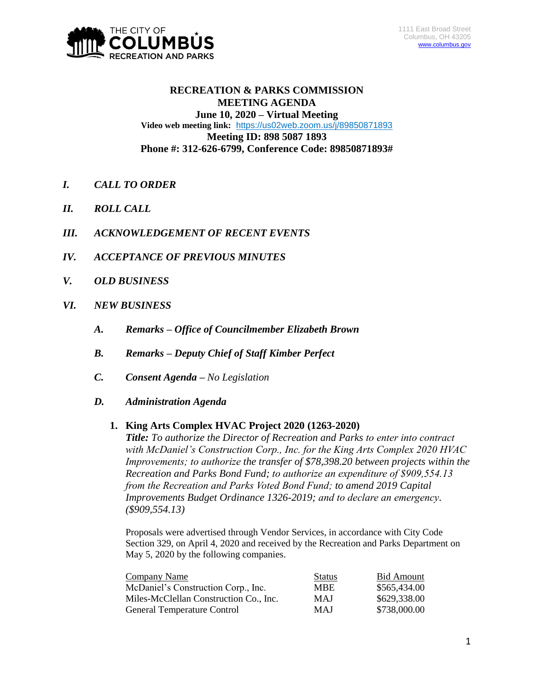

# **RECREATION & PARKS COMMISSION MEETING AGENDA June 10, 2020 – Virtual Meeting Video web meeting link:** <https://us02web.zoom.us/j/89850871893> **Meeting ID: 898 5087 1893 Phone #: 312-626-6799, Conference Code: 89850871893#**

- *I. CALL TO ORDER*
- *II. ROLL CALL*
- *III. ACKNOWLEDGEMENT OF RECENT EVENTS*
- *IV. ACCEPTANCE OF PREVIOUS MINUTES*
- *V. OLD BUSINESS*
- *VI. NEW BUSINESS*
	- *A. Remarks – Office of Councilmember Elizabeth Brown*
	- *B. Remarks – Deputy Chief of Staff Kimber Perfect*
	- *C. Consent Agenda – No Legislation*
	- *D. Administration Agenda*

#### **1. King Arts Complex HVAC Project 2020 (1263-2020)**

*Title: To authorize the Director of Recreation and Parks to enter into contract with McDaniel's Construction Corp., Inc. for the King Arts Complex 2020 HVAC Improvements; to authorize the transfer of \$78,398.20 between projects within the Recreation and Parks Bond Fund; to authorize an expenditure of \$909,554.13 from the Recreation and Parks Voted Bond Fund; to amend 2019 Capital Improvements Budget Ordinance 1326-2019; and to declare an emergency. (\$909,554.13)*

Proposals were advertised through Vendor Services, in accordance with City Code Section 329, on April 4, 2020 and received by the Recreation and Parks Department on May 5, 2020 by the following companies.

| Company Name                           | <b>Status</b> | <b>Bid Amount</b> |
|----------------------------------------|---------------|-------------------|
| McDaniel's Construction Corp., Inc.    | <b>MBE</b>    | \$565,434.00      |
| Miles-McClellan Construction Co., Inc. | <b>MAJ</b>    | \$629,338.00      |
| <b>General Temperature Control</b>     | <b>MAJ</b>    | \$738,000.00      |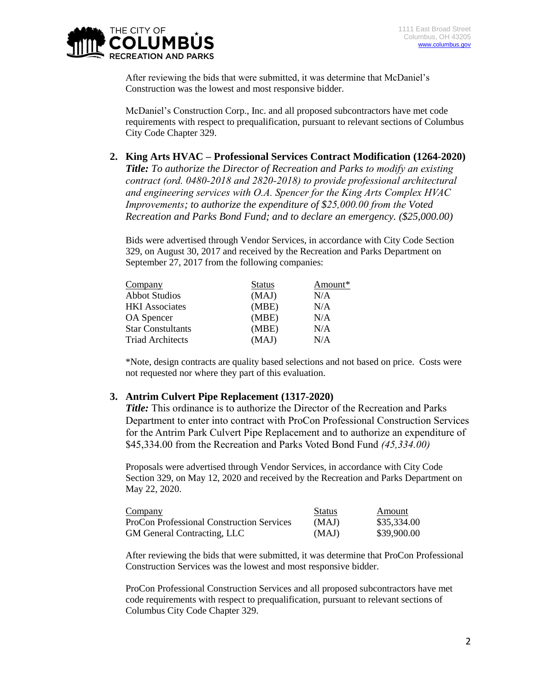

After reviewing the bids that were submitted, it was determine that McDaniel's Construction was the lowest and most responsive bidder.

McDaniel's Construction Corp., Inc. and all proposed subcontractors have met code requirements with respect to prequalification, pursuant to relevant sections of Columbus City Code Chapter 329.

**2. King Arts HVAC – Professional Services Contract Modification (1264-2020)** *Title: To authorize the Director of Recreation and Parks to modify an existing contract (ord. 0480-2018 and 2820-2018) to provide professional architectural and engineering services with O.A. Spencer for the King Arts Complex HVAC Improvements; to authorize the expenditure of \$25,000.00 from the Voted Recreation and Parks Bond Fund; and to declare an emergency. (\$25,000.00)*

Bids were advertised through Vendor Services, in accordance with City Code Section 329, on August 30, 2017 and received by the Recreation and Parks Department on September 27, 2017 from the following companies:

| Company                  | <b>Status</b> | Amount* |
|--------------------------|---------------|---------|
| <b>Abbot Studios</b>     | (MAJ)         | N/A     |
| <b>HKI</b> Associates    | (MBE)         | N/A     |
| <b>OA</b> Spencer        | (MBE)         | N/A     |
| <b>Star Constultants</b> | (MBE)         | N/A     |
| <b>Triad Architects</b>  | (MAJ)         | N/A     |

\*Note, design contracts are quality based selections and not based on price. Costs were not requested nor where they part of this evaluation.

#### **3. Antrim Culvert Pipe Replacement (1317-2020)**

*Title:* This ordinance is to authorize the Director of the Recreation and Parks Department to enter into contract with ProCon Professional Construction Services for the Antrim Park Culvert Pipe Replacement and to authorize an expenditure of \$45,334.00 from the Recreation and Parks Voted Bond Fund *(45,334.00)*

Proposals were advertised through Vendor Services, in accordance with City Code Section 329, on May 12, 2020 and received by the Recreation and Parks Department on May 22, 2020.

| Company                                          | <b>Status</b> | Amount      |
|--------------------------------------------------|---------------|-------------|
| <b>ProCon Professional Construction Services</b> | (MAJ)         | \$35,334.00 |
| <b>GM</b> General Contracting, LLC               | (MAJ)         | \$39,900.00 |

After reviewing the bids that were submitted, it was determine that ProCon Professional Construction Services was the lowest and most responsive bidder.

ProCon Professional Construction Services and all proposed subcontractors have met code requirements with respect to prequalification, pursuant to relevant sections of Columbus City Code Chapter 329.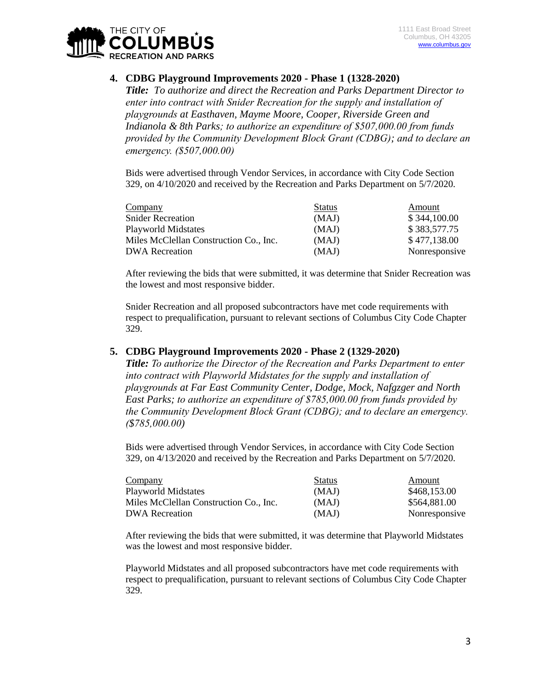

# **4. CDBG Playground Improvements 2020 - Phase 1 (1328-2020)**

*Title: To authorize and direct the Recreation and Parks Department Director to enter into contract with Snider Recreation for the supply and installation of playgrounds at Easthaven, Mayme Moore, Cooper, Riverside Green and Indianola & 8th Parks; to authorize an expenditure of \$507,000.00 from funds provided by the Community Development Block Grant (CDBG); and to declare an emergency. (\$507,000.00)*

Bids were advertised through Vendor Services, in accordance with City Code Section 329, on 4/10/2020 and received by the Recreation and Parks Department on 5/7/2020.

| Company                                | <b>Status</b> | Amount        |
|----------------------------------------|---------------|---------------|
| <b>Snider Recreation</b>               | (MAJ)         | \$344,100.00  |
| <b>Playworld Midstates</b>             | (MAJ)         | \$383,577.75  |
| Miles McClellan Construction Co., Inc. | (MAJ)         | \$477,138.00  |
| <b>DWA</b> Recreation                  | (MAJ)         | Nonresponsive |

After reviewing the bids that were submitted, it was determine that Snider Recreation was the lowest and most responsive bidder.

Snider Recreation and all proposed subcontractors have met code requirements with respect to prequalification, pursuant to relevant sections of Columbus City Code Chapter 329.

### **5. CDBG Playground Improvements 2020 - Phase 2 (1329-2020)**

*Title: To authorize the Director of the Recreation and Parks Department to enter into contract with Playworld Midstates for the supply and installation of playgrounds at Far East Community Center, Dodge, Mock, Nafgzger and North East Parks; to authorize an expenditure of \$785,000.00 from funds provided by the Community Development Block Grant (CDBG); and to declare an emergency. (\$785,000.00)*

Bids were advertised through Vendor Services, in accordance with City Code Section 329, on 4/13/2020 and received by the Recreation and Parks Department on 5/7/2020.

| Company                                | <b>Status</b> | Amount        |
|----------------------------------------|---------------|---------------|
| Playworld Midstates                    | (MAJ)         | \$468,153.00  |
| Miles McClellan Construction Co., Inc. | (MAJ)         | \$564,881.00  |
| <b>DWA Recreation</b>                  | (MAJ)         | Nonresponsive |

After reviewing the bids that were submitted, it was determine that Playworld Midstates was the lowest and most responsive bidder.

Playworld Midstates and all proposed subcontractors have met code requirements with respect to prequalification, pursuant to relevant sections of Columbus City Code Chapter 329.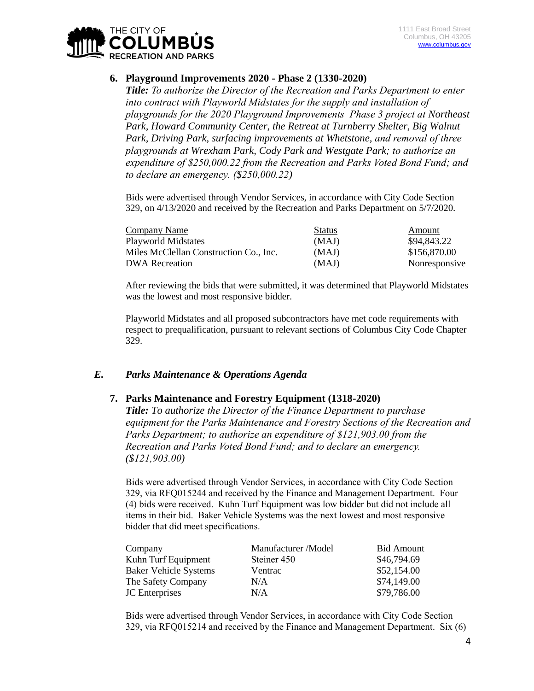

## **6. Playground Improvements 2020 - Phase 2 (1330-2020)**

*Title: To authorize the Director of the Recreation and Parks Department to enter into contract with Playworld Midstates for the supply and installation of playgrounds for the 2020 Playground Improvements Phase 3 project at Northeast Park, Howard Community Center, the Retreat at Turnberry Shelter, Big Walnut Park, Driving Park, surfacing improvements at Whetstone, and removal of three playgrounds at Wrexham Park, Cody Park and Westgate Park; to authorize an expenditure of \$250,000.22 from the Recreation and Parks Voted Bond Fund; and to declare an emergency. (\$250,000.22)*

Bids were advertised through Vendor Services, in accordance with City Code Section 329, on 4/13/2020 and received by the Recreation and Parks Department on 5/7/2020.

| Company Name                           | <b>Status</b> | Amount        |
|----------------------------------------|---------------|---------------|
| Playworld Midstates                    | (MAJ)         | \$94,843.22   |
| Miles McClellan Construction Co., Inc. | (MAJ)         | \$156,870.00  |
| DWA Recreation                         | (MAJ)         | Nonresponsive |

After reviewing the bids that were submitted, it was determined that Playworld Midstates was the lowest and most responsive bidder.

Playworld Midstates and all proposed subcontractors have met code requirements with respect to prequalification, pursuant to relevant sections of Columbus City Code Chapter 329.

## *E. Parks Maintenance & Operations Agenda*

#### **7. Parks Maintenance and Forestry Equipment (1318-2020)**

*Title: To authorize the Director of the Finance Department to purchase equipment for the Parks Maintenance and Forestry Sections of the Recreation and Parks Department; to authorize an expenditure of \$121,903.00 from the Recreation and Parks Voted Bond Fund; and to declare an emergency. (\$121,903.00)*

Bids were advertised through Vendor Services, in accordance with City Code Section 329, via RFQ015244 and received by the Finance and Management Department. Four (4) bids were received. Kuhn Turf Equipment was low bidder but did not include all items in their bid. Baker Vehicle Systems was the next lowest and most responsive bidder that did meet specifications.

| Company                      | Manufacturer /Model | <b>Bid Amount</b> |
|------------------------------|---------------------|-------------------|
| Kuhn Turf Equipment          | Steiner 450         | \$46,794.69       |
| <b>Baker Vehicle Systems</b> | Ventrac             | \$52,154.00       |
| The Safety Company           | N/A                 | \$74,149.00       |
| <b>JC</b> Enterprises        | N/A                 | \$79,786.00       |

Bids were advertised through Vendor Services, in accordance with City Code Section 329, via RFQ015214 and received by the Finance and Management Department. Six (6)